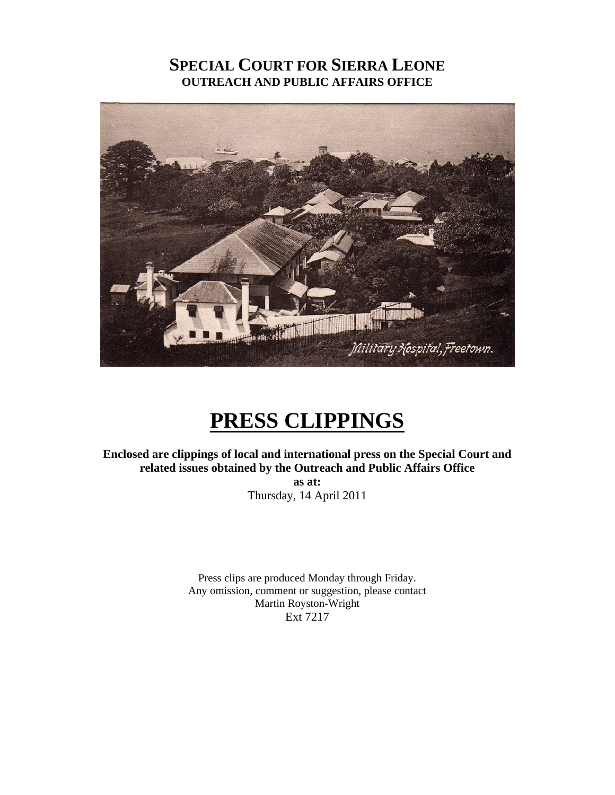# **SPECIAL COURT FOR SIERRA LEONE OUTREACH AND PUBLIC AFFAIRS OFFICE**



# **PRESS CLIPPINGS**

**Enclosed are clippings of local and international press on the Special Court and related issues obtained by the Outreach and Public Affairs Office as at:**  Thursday, 14 April 2011

> Press clips are produced Monday through Friday. Any omission, comment or suggestion, please contact Martin Royston-Wright Ext 7217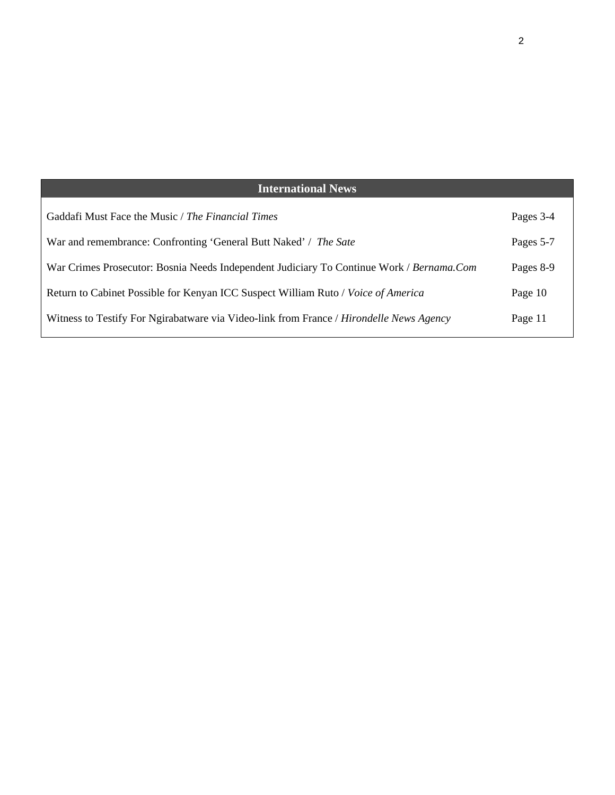| <b>International News</b>                                                                |           |
|------------------------------------------------------------------------------------------|-----------|
| Gaddafi Must Face the Music / The Financial Times                                        | Pages 3-4 |
| War and remembrance: Confronting 'General Butt Naked' / The Sate                         | Pages 5-7 |
| War Crimes Prosecutor: Bosnia Needs Independent Judiciary To Continue Work / Bernama.Com | Pages 8-9 |
| Return to Cabinet Possible for Kenyan ICC Suspect William Ruto / Voice of America        | Page 10   |
| Witness to Testify For Ngirabatware via Video-link from France / Hirondelle News Agency  | Page 11   |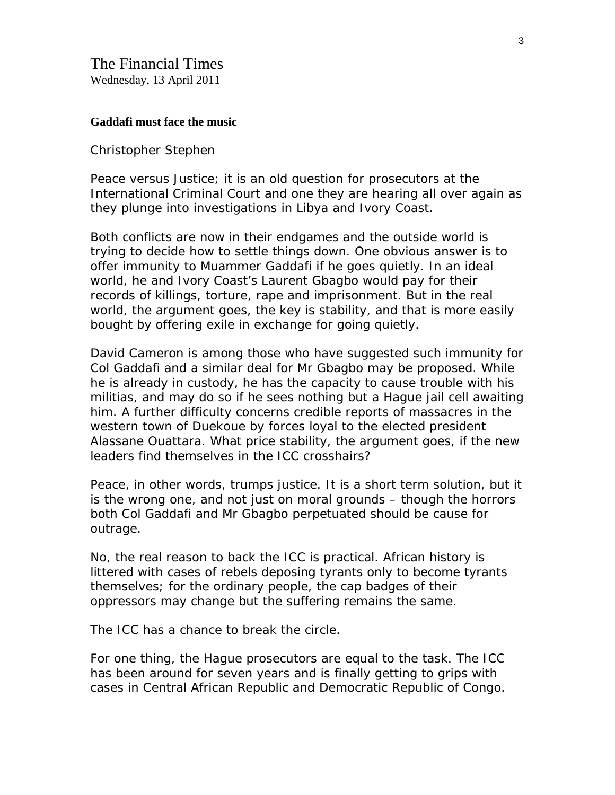#### **Gaddafi must face the music**

#### Christopher Stephen

Peace versus Justice; it is an old question for prosecutors at the International Criminal Court and one they are hearing all over again as they plunge into investigations in [Libya](http://www.ft.com/indepth/libya-uprising) and [Ivory Coast](http://www.ft.com/cms/s/0/11d4aa0c-65d5-11e0-baee-00144feab49a.html).

Both conflicts are now in their endgames and the outside world is trying to decide how to settle things down. One obvious answer is to offer immunity to Muammer Gaddafi if he goes quietly. In an ideal world, he and Ivory Coast's [Laurent Gbagbo](http://www.ft.com/cms/s/0/53cd6854-6440-11e0-b171-00144feab49a.html) would pay for their records of killings, torture, rape and imprisonment. But in the real world, the argument goes, the key is stability, and that is more easily bought by offering exile in exchange for going quietly.

David Cameron is among those who have suggested such [immunity](http://www.ft.com/cms/s/0/ebee04cc-5dfb-11e0-b1d8-00144feab49a.html) for Col Gaddafi and a similar deal for Mr Gbagbo may be proposed. While he is already in custody, he has the capacity to cause trouble with his militias, and may do so if he sees nothing but a Hague jail cell awaiting him. A further difficulty concerns credible reports of massacres in the western town of Duekoue by forces loyal to the elected president Alassane Ouattara. What price stability, the argument goes, if the new leaders find themselves in the ICC crosshairs?

Peace, in other words, trumps justice. It is a short term solution, but it is the wrong one, and not just on moral grounds – though the horrors both Col Gaddafi and Mr Gbagbo perpetuated should be cause for outrage.

No, the real reason to back the ICC is practical. African history is littered with cases of rebels deposing tyrants only to become tyrants themselves; for the ordinary people, the cap badges of their oppressors may change but the suffering remains the same.

The ICC has a chance to break the circle.

For one thing, the Hague prosecutors are equal to the task. The ICC has been around for seven years and is finally getting to grips with cases in Central African Republic and Democratic Republic of Congo.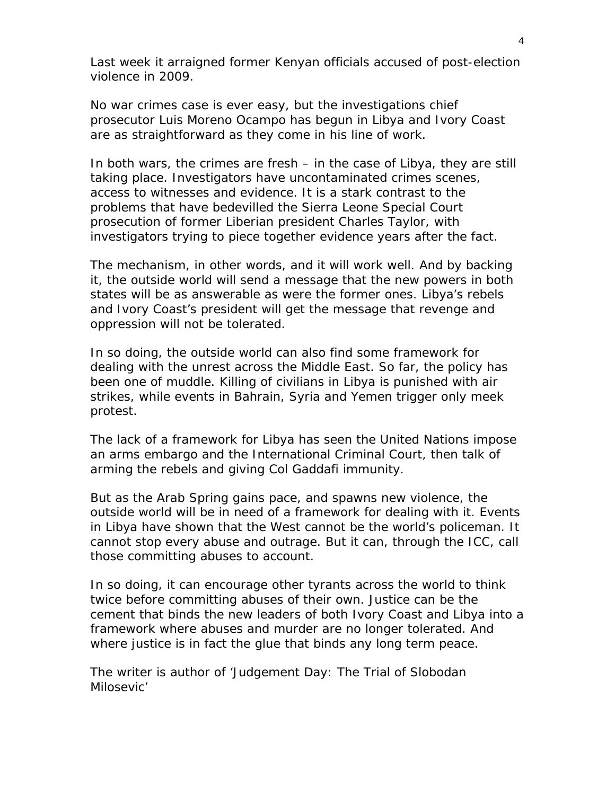Last week it arraigned former Kenyan officials accused of post-election violence in 2009.

No war crimes case is ever easy, but the investigations chief prosecutor Luis Moreno Ocampo has begun in Libya and Ivory Coast are as straightforward as they come in his line of work.

In both wars, the crimes are fresh – in the case of Libya, they are still taking place. Investigators have uncontaminated crimes scenes, access to witnesses and evidence. It is a stark contrast to the problems that have bedevilled the Sierra Leone Special Court prosecution of former Liberian president [Charles Taylor,](http://www.ft.com/cms/s/0/4da6be0c-bd00-11dc-b7e6-0000779fd2ac.html) with investigators trying to piece together evidence years after the fact.

The mechanism, in other words, and it will work well. And by backing it, the outside world will send a message that the new powers in both states will be as answerable as were the former ones. Libya's rebels and Ivory Coast's president will get the message that revenge and oppression will not be tolerated.

In so doing, the outside world can also find some framework for dealing with the unrest across the Middle East. So far, the policy has been one of muddle. Killing of civilians in Libya is punished with air strikes, while events in [Bahrain](http://www.ft.com/cms/s/0/0577ba96-5889-11e0-9b8a-00144feab49a.html), [Syria](http://www.ft.com/cms/s/0/1cd30ace-6392-11e0-bd7f-00144feab49a.html) and [Yemen](http://www.ft.com/cms/s/0/24b68da2-6210-11e0-8ee4-00144feab49a.html) trigger only meek protest.

The lack of a framework for Libya has seen the United Nations impose an arms embargo and the International Criminal Court, then talk of arming the rebels and giving Col Gaddafi immunity.

But as the Arab Spring gains pace, and spawns new violence, the outside world will be in need of a framework for dealing with it. Events in Libya have shown that the West cannot be the world's policeman. It cannot stop every abuse and outrage. But it can, through the ICC, call those committing abuses to account.

In so doing, it can encourage other tyrants across the world to think twice before committing abuses of their own. Justice can be the cement that binds the new leaders of both Ivory Coast and Libya into a framework where abuses and murder are no longer tolerated. And where justice is in fact the glue that binds any long term peace.

*The writer is author of 'Judgement Day: The Trial of Slobodan Milosevic'*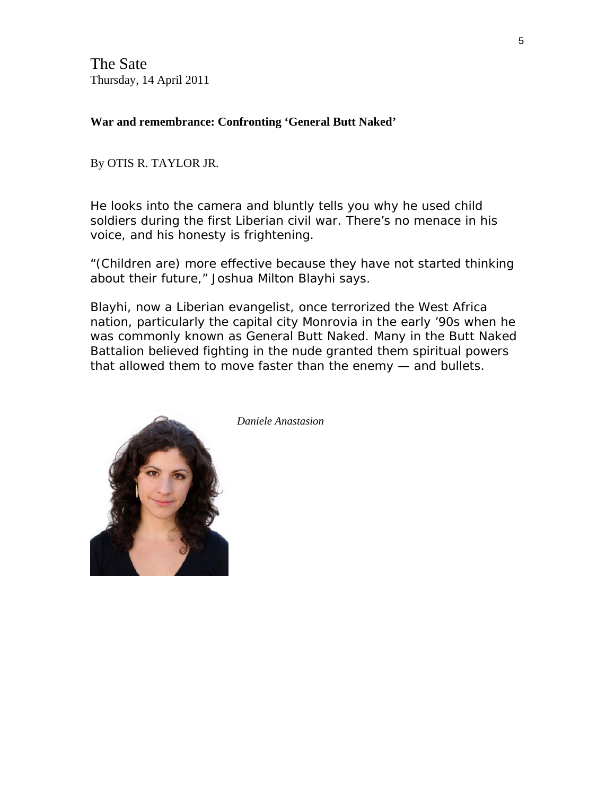The Sate Thursday, 14 April 2011

**War and remembrance: Confronting 'General Butt Naked'** 

By OTIS R. TAYLOR JR.

He looks into the camera and bluntly tells you why he used child soldiers during the first Liberian civil war. There's no menace in his voice, and his honesty is frightening.

"(Children are) more effective because they have not started thinking about their future," Joshua Milton Blayhi says.

Blayhi, now a Liberian evangelist, once terrorized the West Africa nation, particularly the capital city Monrovia in the early '90s when he was commonly known as General Butt Naked. Many in the Butt Naked Battalion believed fighting in the nude granted them spiritual powers that allowed them to move faster than the enemy — and bullets.



*Daniele Anastasion*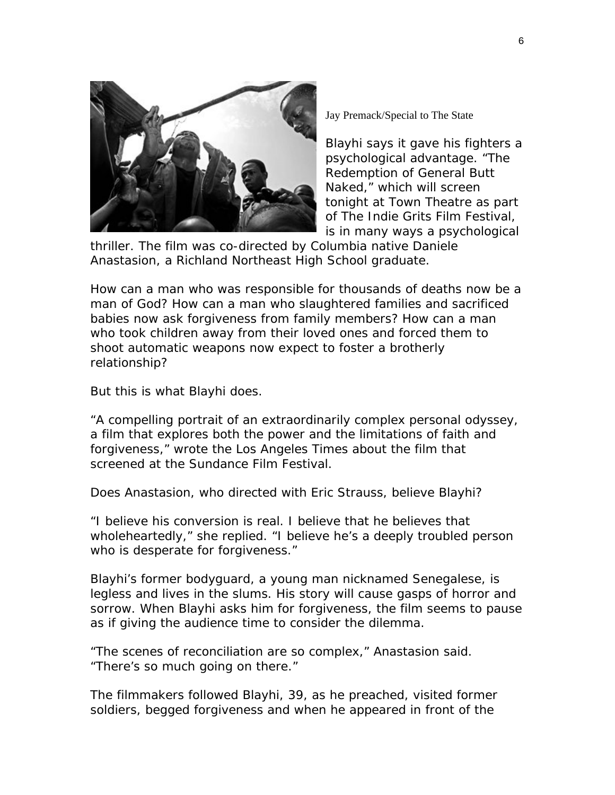

Jay Premack/Special to The State

Blayhi says it gave his fighters a psychological advantage. "The Redemption of General Butt Naked," which will screen tonight at Town Theatre as part of The Indie Grits Film Festival, is in many ways a psychological

thriller. The film was co-directed by Columbia native Daniele Anastasion, a Richland Northeast High School graduate.

How can a man who was responsible for thousands of deaths now be a man of God? How can a man who slaughtered families and sacrificed babies now ask forgiveness from family members? How can a man who took children away from their loved ones and forced them to shoot automatic weapons now expect to foster a brotherly relationship?

But this is what Blayhi does.

"A compelling portrait of an extraordinarily complex personal odyssey, a film that explores both the power and the limitations of faith and forgiveness," wrote the Los Angeles Times about the film that screened at the Sundance Film Festival.

Does Anastasion, who directed with Eric Strauss, believe Blayhi?

"I believe his conversion is real. I believe that he believes that wholeheartedly," she replied. "I believe he's a deeply troubled person who is desperate for forgiveness."

Blayhi's former bodyguard, a young man nicknamed Senegalese, is legless and lives in the slums. His story will cause gasps of horror and sorrow. When Blayhi asks him for forgiveness, the film seems to pause as if giving the audience time to consider the dilemma.

"The scenes of reconciliation are so complex," Anastasion said. "There's so much going on there."

The filmmakers followed Blayhi, 39, as he preached, visited former soldiers, begged forgiveness and when he appeared in front of the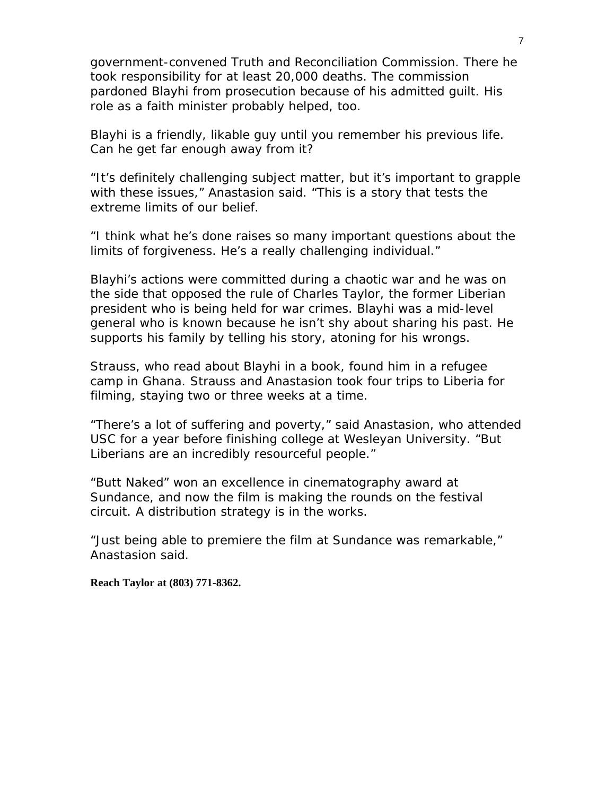government-convened Truth and Reconciliation Commission. There he took responsibility for at least 20,000 deaths. The commission pardoned Blayhi from prosecution because of his admitted guilt. His role as a faith minister probably helped, too.

Blayhi is a friendly, likable guy until you remember his previous life. Can he get far enough away from it?

"It's definitely challenging subject matter, but it's important to grapple with these issues," Anastasion said. "This is a story that tests the extreme limits of our belief.

"I think what he's done raises so many important questions about the limits of forgiveness. He's a really challenging individual."

Blayhi's actions were committed during a chaotic war and he was on the side that opposed the rule of Charles Taylor, the former Liberian president who is being held for war crimes. Blayhi was a mid-level general who is known because he isn't shy about sharing his past. He supports his family by telling his story, atoning for his wrongs.

Strauss, who read about Blayhi in a book, found him in a refugee camp in Ghana. Strauss and Anastasion took four trips to Liberia for filming, staying two or three weeks at a time.

"There's a lot of suffering and poverty," said Anastasion, who attended USC for a year before finishing college at Wesleyan University. "But Liberians are an incredibly resourceful people."

"Butt Naked" won an excellence in cinematography award at Sundance, and now the film is making the rounds on the festival circuit. A distribution strategy is in the works.

"Just being able to premiere the film at Sundance was remarkable," Anastasion said.

**Reach Taylor at (803) 771-8362.**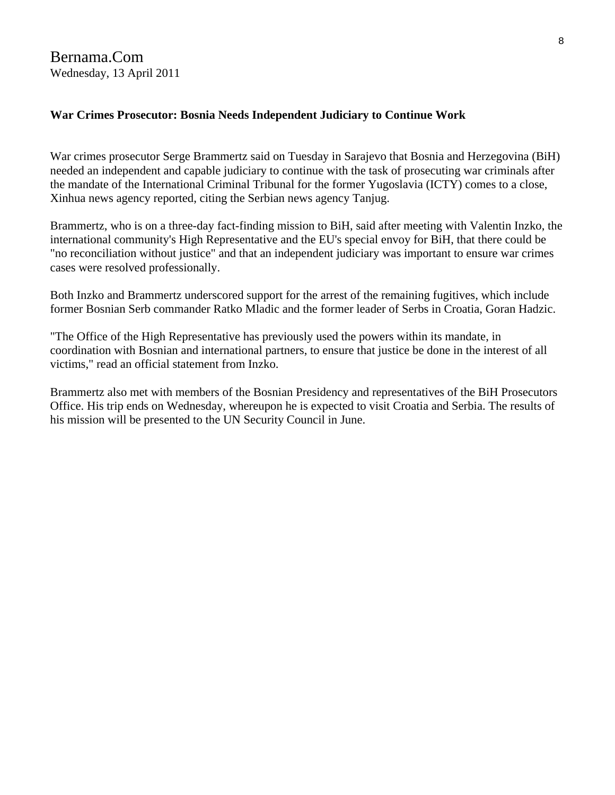## **War Crimes Prosecutor: Bosnia Needs Independent Judiciary to Continue Work**

War crimes prosecutor Serge Brammertz said on Tuesday in Sarajevo that Bosnia and Herzegovina (BiH) needed an independent and capable judiciary to continue with the task of prosecuting war criminals after the mandate of the International Criminal Tribunal for the former Yugoslavia (ICTY) comes to a close, Xinhua news agency reported, citing the Serbian news agency Tanjug.

Brammertz, who is on a three-day fact-finding mission to BiH, said after meeting with Valentin Inzko, the international community's High Representative and the EU's special envoy for BiH, that there could be "no reconciliation without justice" and that an independent judiciary was important to ensure war crimes cases were resolved professionally.

Both Inzko and Brammertz underscored support for the arrest of the remaining fugitives, which include former Bosnian Serb commander Ratko Mladic and the former leader of Serbs in Croatia, Goran Hadzic.

"The Office of the High Representative has previously used the powers within its mandate, in coordination with Bosnian and international partners, to ensure that justice be done in the interest of all victims," read an official statement from Inzko.

Brammertz also met with members of the Bosnian Presidency and representatives of the BiH Prosecutors Office. His trip ends on Wednesday, whereupon he is expected to visit Croatia and Serbia. The results of his mission will be presented to the UN Security Council in June.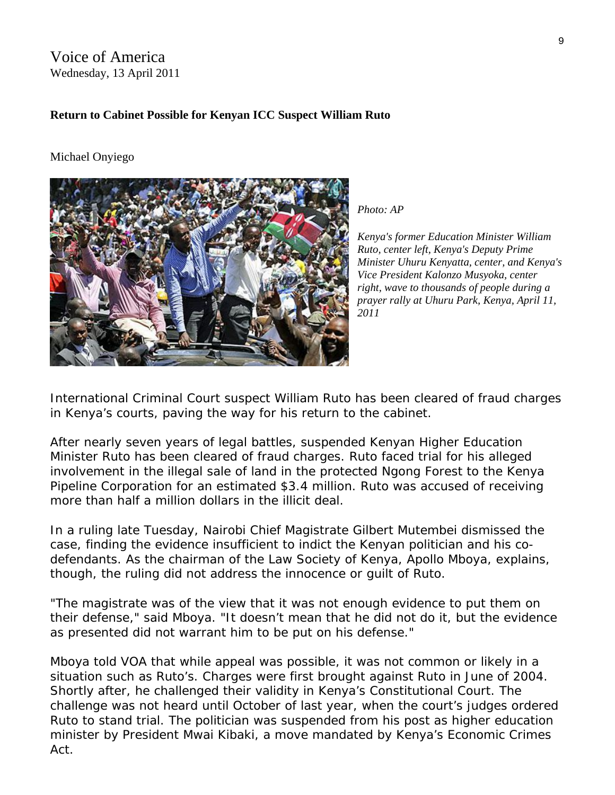# Voice of America Wednesday, 13 April 2011

## **Return to Cabinet Possible for Kenyan ICC Suspect William Ruto**

#### Michael Onyiego



*Photo: AP* 

*Kenya's former Education Minister William Ruto, center left, Kenya's Deputy Prime Minister Uhuru Kenyatta, center, and Kenya's Vice President Kalonzo Musyoka, center right, wave to thousands of people during a prayer rally at Uhuru Park, Kenya, April 11, 2011* 

International Criminal Court suspect William Ruto has been cleared of fraud charges in Kenya's courts, paving the way for his return to the cabinet.

After nearly seven years of legal battles, suspended Kenyan Higher Education Minister Ruto has been cleared of fraud charges. Ruto faced trial for his alleged involvement in the illegal sale of land in the protected Ngong Forest to the Kenya Pipeline Corporation for an estimated \$3.4 million. Ruto was accused of receiving more than half a million dollars in the illicit deal.

In a ruling late Tuesday, Nairobi Chief Magistrate Gilbert Mutembei dismissed the case, finding the evidence insufficient to indict the Kenyan politician and his codefendants. As the chairman of the Law Society of Kenya, Apollo Mboya, explains, though, the ruling did not address the innocence or guilt of Ruto.

"The magistrate was of the view that it was not enough evidence to put them on their defense," said Mboya. "It doesn't mean that he did not do it, but the evidence as presented did not warrant him to be put on his defense."

Mboya told VOA that while appeal was possible, it was not common or likely in a situation such as Ruto's. Charges were first brought against Ruto in June of 2004. Shortly after, he challenged their validity in Kenya's Constitutional Court. The challenge was not heard until October of last year, when the court's judges ordered Ruto to stand trial. The politician was suspended from his post as higher education minister by President Mwai Kibaki, a move mandated by Kenya's Economic Crimes Act.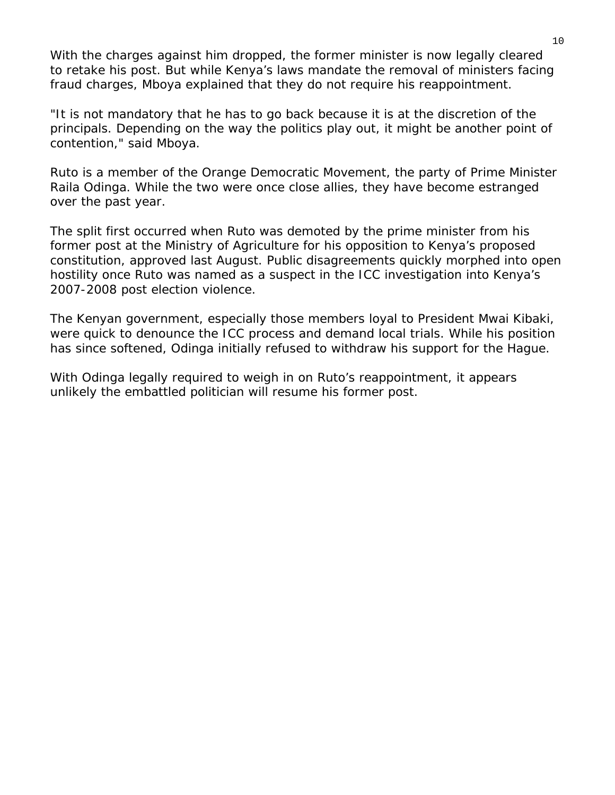With the charges against him dropped, the former minister is now legally cleared to retake his post. But while Kenya's laws mandate the removal of ministers facing fraud charges, Mboya explained that they do not require his reappointment.

"It is not mandatory that he has to go back because it is at the discretion of the principals. Depending on the way the politics play out, it might be another point of contention," said Mboya.

Ruto is a member of the Orange Democratic Movement, the party of Prime Minister Raila Odinga. While the two were once close allies, they have become estranged over the past year.

The split first occurred when Ruto was demoted by the prime minister from his former post at the Ministry of Agriculture for his opposition to Kenya's proposed constitution, approved last August. Public disagreements quickly morphed into open hostility once Ruto was named as a suspect in the ICC investigation into Kenya's 2007-2008 post election violence.

The Kenyan government, especially those members loyal to President Mwai Kibaki, were quick to denounce the ICC process and demand local trials. While his position has since softened, Odinga initially refused to withdraw his support for the Hague.

With Odinga legally required to weigh in on Ruto's reappointment, it appears unlikely the embattled politician will resume his former post.